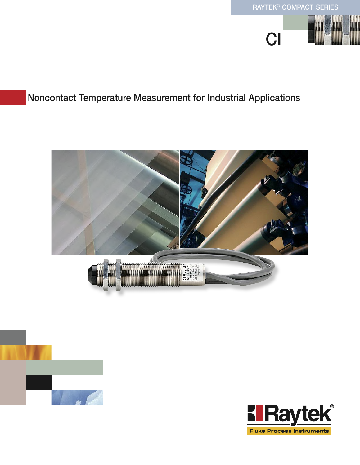

# Noncontact Temperature Measurement for Industrial Applications





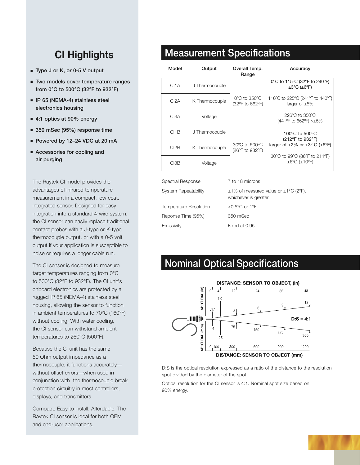# **CI Highlights**

- Type J or K, or 0-5 V output
- Two models cover temperature ranges from 0°C to 500°C (32°F to 932°F)
- IP 65 (NEMA-4) stainless steel electronics housing
- 4:1 optics at 90% energy
- 350 mSec (95%) response time
- Powered by 12-24 VDC at 20 mA
- Accessories for cooling and air purging

The Raytek CI model provides the advantages of infrared temperature measurement in a compact, low cost, integrated sensor. Designed for easy integration into a standard 4-wire system, the CI sensor can easily replace traditional contact probes with a J-type or K-type thermocouple output, or with a 0-5 volt output if your application is susceptible to noise or requires a longer cable run.

The CI sensor is designed to measure target temperatures ranging from 0°C to 500°C (32°F to 932°F). The CI unit's onboard electronics are protected by a rugged IP 65 (NEMA-4) stainless steel housing, allowing the sensor to function in ambient temperatures to 70°C (160°F) without cooling. With water cooling, the CI sensor can withstand ambient temperatures to 260°C (500°F).

Because the CI unit has the same 50 Ohm output impedance as a thermocouple, it functions accurately without offset errors—when used in conjunction with the thermocouple break protection circuitry in most controllers, displays, and transmitters.

Compact. Easy to install. Affordable. The Raytek CI sensor is ideal for both OEM and end-user applications.

## Measurement Specifications

| Model             | Output         | Overall Temp.<br>Range           | Accuracy                                                                |
|-------------------|----------------|----------------------------------|-------------------------------------------------------------------------|
| CI <sub>1</sub> A | J Thermocouple |                                  | 0°C to 115°C (32°F to 240°F)<br>$\pm 3$ °C ( $\pm 6$ °F)                |
| C <sub>I2A</sub>  | K Thermocouple | 0°C to 350°C<br>(32°F to 662°F)  | 116°C to 225°C (241°F to 440°F)<br>larger of $\pm 5\%$                  |
| CI <sub>3</sub> A | Voltage        |                                  | $226^{\circ}$ C to $350^{\circ}$ C<br>(441°F to 662°F) >±5%             |
| C11B              | J Thermocouple | 30°C to 500°C<br>(86°F to 932°F) | 100 $\degree$ C to 500 $\degree$ C<br>(212°F to 932°F)                  |
| CI2B              | K Thermocouple |                                  | larger of $\pm 2\%$ or $\pm 3^{\circ}$ C ( $\pm 6^{\circ}$ F)           |
| CI3B              | Voltage        |                                  | 30°C to 99°C (86°F to 211°F)<br>$\pm 6^{\circ}$ C ( $\pm 10^{\circ}$ F) |

Spectral Response 7 to 18 microns System Repeatability  $\pm 1\%$  of measured value or  $\pm 1\degree$ C (2 $\degree$ F), Temperature Resolution <0.5°C or 1°F Reponse Time (95%) 350 mSec Emissivity Fixed at 0.95

whichever is greater

# Nominal Optical Specifications



D:S is the optical resolution expressed as a ratio of the distance to the resolution spot divided by the diameter of the spot.

Optical resolution for the CI sensor is 4:1. Nominal spot size based on 90% energy.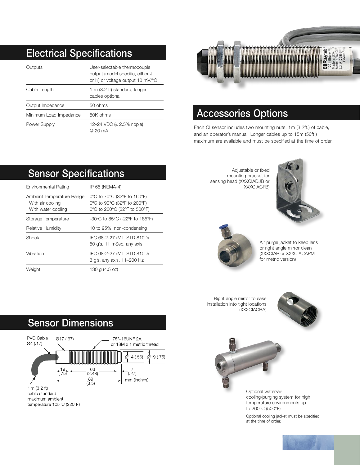# Electrical Specifications

| Outputs                | User-selectable thermocouple<br>output (model specific, either J<br>or K) or voltage output 10 mV/°C |
|------------------------|------------------------------------------------------------------------------------------------------|
| Cable Length           | 1 m (3.2 ft) standard, longer<br>cables optional                                                     |
| Output Impedance       | 50 ohms                                                                                              |
| Minimum Load Impedance | 50K ohms                                                                                             |
| Power Supply           | 12–24 VDC (≤ 2.5% ripple)<br>@ 20 mA                                                                 |



## Accessories Options

Each CI sensor includes two mounting nuts, 1m (3.2ft.) of cable, and an operator's manual. Longer cables up to 15m (50ft.) maximum are available and must be specified at the time of order.

# Sensor Specifications

| Environmental Rating                                                | IP 65 (NEMA-4)                                                                             |
|---------------------------------------------------------------------|--------------------------------------------------------------------------------------------|
| Ambient Temperature Range<br>With air cooling<br>With water cooling | 0°C to 70°C (32°F to 160°F)<br>0°C to 90°C (32°F to 200°F)<br>0°C to 260°C (32°F to 500°F) |
| Storage Temperature                                                 | $-30^{\circ}$ C to 85 $^{\circ}$ C (-22 $^{\circ}$ F to 185 $^{\circ}$ F)                  |
| Relative Humidity                                                   | 10 to 95%, non-condensing                                                                  |
| Shock                                                               | IEC 68-2-27 (MIL STD 810D)<br>50 g's, 11 mSec, any axis                                    |
| Vibration                                                           | IEC 68-2-27 (MIL STD 810D)<br>3 g's, any axis, 11-200 Hz                                   |
| Weight                                                              | 130 g (4.5 oz)                                                                             |

### Adjustable or fixed mounting bracket for sensing head (XXXCIADJB or XXXCIACFB)





Air purge jacket to keep lens or right angle mirror clean (XXXCIAP or XXXCIACAPM for metric version)

Right angle mirror to ease installation into tight locations (XXXCIACRA)





Optional water/air cooling/purging system for high temperature environments up to 260°C (500°F)

Optional cooling jacket must be specified at the time of order.

## Sensor Dimensions



temperature 105°C (220°F)